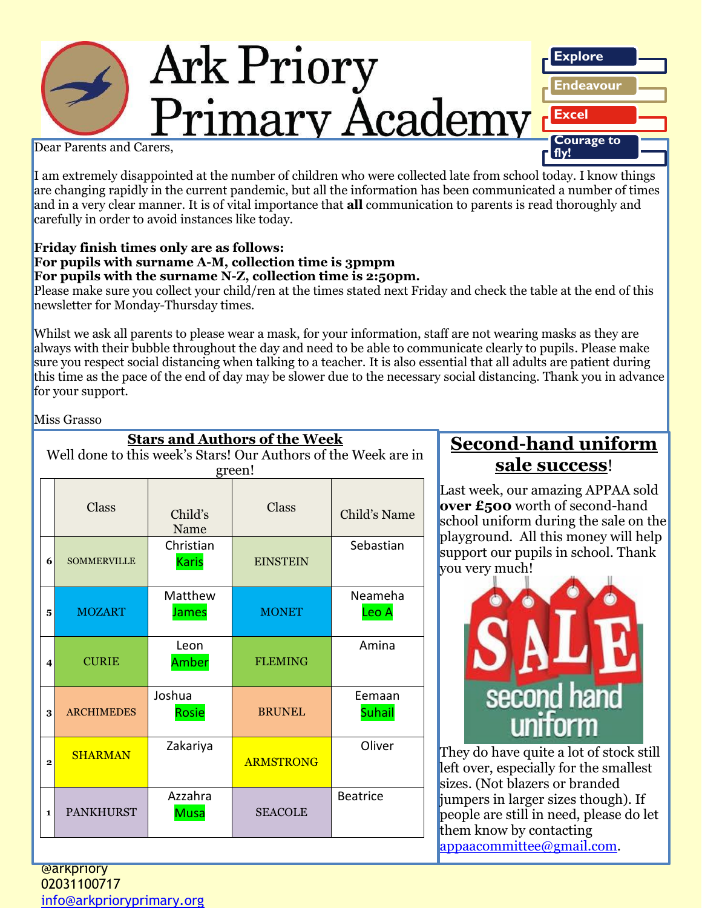# **Ark Priory** Primary Academy



Dear Parents and Carers,

I am extremely disappointed at the number of children who were collected late from school today. I know things are changing rapidly in the current pandemic, but all the information has been communicated a number of times and in a very clear manner. It is of vital importance that **all** communication to parents is read thoroughly and carefully in order to avoid instances like today.

#### **Friday finish times only are as follows: For pupils with surname A-M, collection time is 3pmpm For pupils with the surname N-Z, collection time is 2:50pm.**

Please make sure you collect your child/ren at the times stated next Friday and check the table at the end of this newsletter for Monday-Thursday times.

Whilst we ask all parents to please wear a mask, for your information, staff are not wearing masks as they are always with their bubble throughout the day and need to be able to communicate clearly to pupils. Please make sure you respect social distancing when talking to a teacher. It is also essential that all adults are patient during this time as the pace of the end of day may be slower due to the necessary social distancing. Thank you in advance for your support.

Miss Grasso

| <b>Stars and Authors of the Week</b>                                     |                    |                           |                  |                         |  |  |  |  |
|--------------------------------------------------------------------------|--------------------|---------------------------|------------------|-------------------------|--|--|--|--|
| Well done to this week's Stars! Our Authors of the Week are in<br>green! |                    |                           |                  |                         |  |  |  |  |
|                                                                          | Class              | Child's<br>Name           | Class            | Child's Name            |  |  |  |  |
| 6                                                                        | <b>SOMMERVILLE</b> | Christian<br><b>Karis</b> | <b>EINSTEIN</b>  | Sebastian               |  |  |  |  |
| 5                                                                        | <b>MOZART</b>      | Matthew<br><b>James</b>   | <b>MONET</b>     | Neameha<br>Leo A        |  |  |  |  |
| 4                                                                        | <b>CURIE</b>       | Leon<br>Amber             | <b>FLEMING</b>   | Amina                   |  |  |  |  |
| 3                                                                        | <b>ARCHIMEDES</b>  | Joshua<br>Rosie           | <b>BRUNEL</b>    | Eemaan<br><b>Suhail</b> |  |  |  |  |
| $\mathbf{2}$                                                             | <b>SHARMAN</b>     | Zakariya                  | <b>ARMSTRONG</b> | Oliver                  |  |  |  |  |
| 1                                                                        | <b>PANKHURST</b>   | Azzahra<br><b>Musa</b>    | <b>SEACOLE</b>   | <b>Beatrice</b>         |  |  |  |  |

### **Second-hand uniform sale success**!

Last week, our amazing APPAA sold **over £500** worth of second-hand school uniform during the sale on the playground. All this money will help support our pupils in school. Thank you very much!



*Ark Priory Primary Academy is committed to safeguarding and equality*  [appaacommittee@gmail.com.](mailto:appaacommittee@gmail.com) They do have quite a lot of stock still left over, especially for the smallest sizes. (Not blazers or branded jumpers in larger sizes though). If people are still in need, please do let them know by contacting

@arkpriory 02031100717 [info@arkprioryprimary.org](mailto:info@arkprioryprimary.org)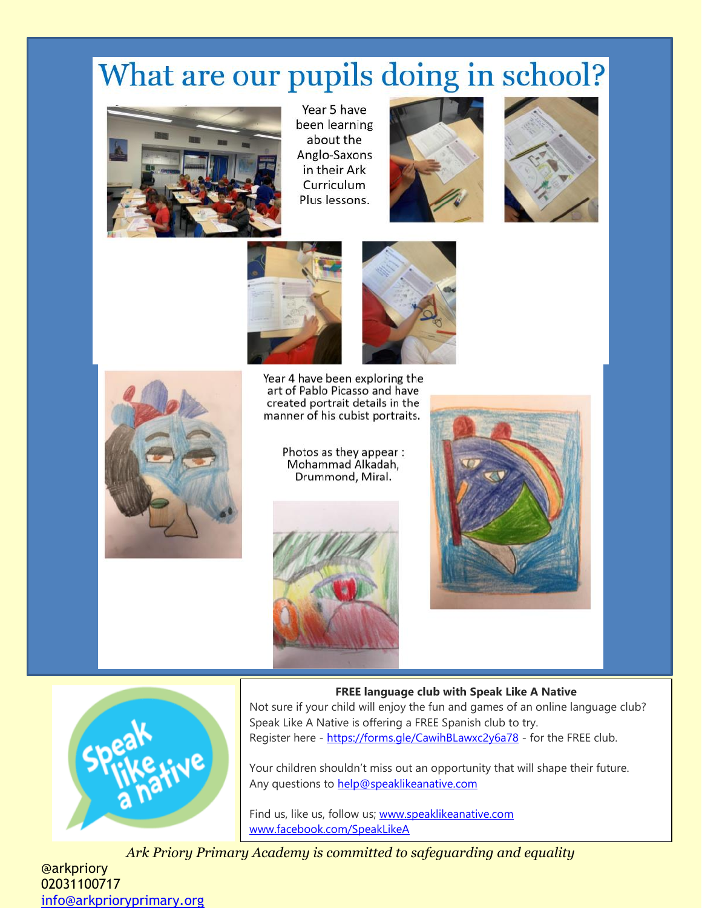## What are our pupils doing in school?



Year 5 have been learning about the Anglo-Saxons in their Ark Curriculum Plus lessons.







Year 4 have been exploring the art of Pablo Picasso and have created portrait details in the manner of his cubist portraits.



Photos as they appear : Mohammad Alkadah, Drummond, Miral.





**FREE language club with Speak Like A Native**

Not sure if your child will enjoy the fun and games of an online language club? Speak Like A Native is offering a FREE Spanish club to try. Register here - <https://forms.gle/CawihBLawxc2y6a78> - for the FREE club.

Your children shouldn't miss out an opportunity that will shape their future. Any questions to [help@speaklikeanative.com](mailto:help@speaklikeanative.com)

Find us, like us, follow us; [www.speaklikeanative.com](http://www.speaklikeanative.com/) [www.facebook.com/SpeakLikeA](http://www.facebook.com/SpeakLikeA)

Ark Priory Primary Academy is committed to safeguarding and equality

@arkpriory 02031100717 [info@arkprioryprimary.org](mailto:info@arkprioryprimary.org)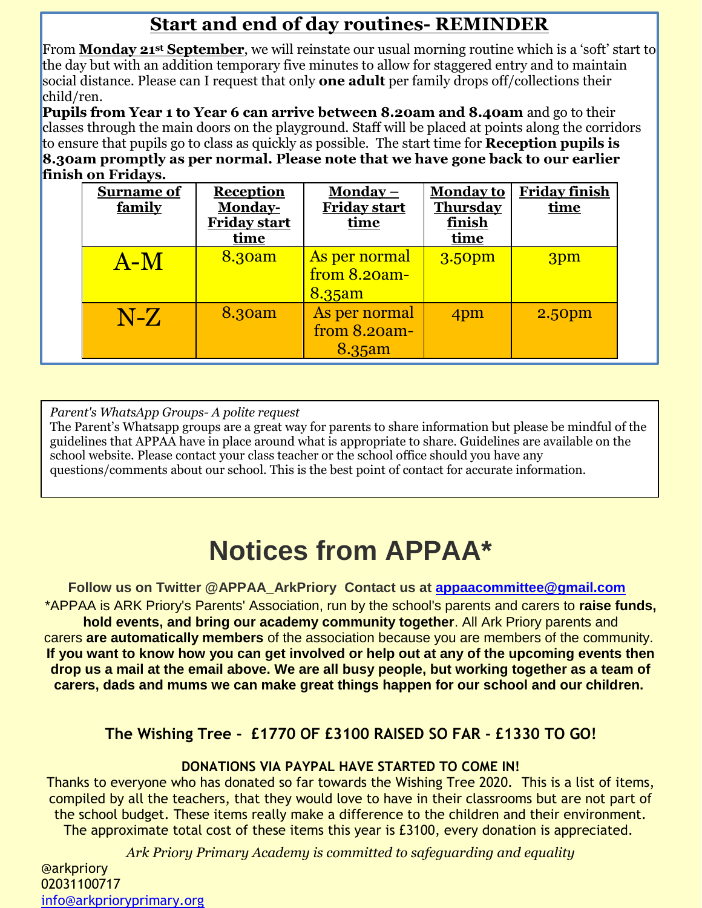### **Start and end of day routines- REMINDER**

From **Monday 21st September**, we will reinstate our usual morning routine which is a 'soft' start to the day but with an addition temporary five minutes to allow for staggered entry and to maintain social distance. Please can I request that only **one adult** per family drops off/collections their child/ren.

**Pupils from Year 1 to Year 6 can arrive between 8.20am and 8.40am** and go to their classes through the main doors on the playground. Staff will be placed at points along the corridors to ensure that pupils go to class as quickly as possible. The start time for **Reception pupils is 8.30am promptly as per normal. Please note that we have gone back to our earlier finish on Fridays.** 

| <b>Surname of</b><br>family | <b>Reception</b><br>Monday-<br><b>Friday start</b><br>time | Monday $-$<br><b>Friday start</b><br>time  | <b>Monday to</b><br><b>Thursday</b><br>finish<br>time | <b>Friday finish</b><br>time |
|-----------------------------|------------------------------------------------------------|--------------------------------------------|-------------------------------------------------------|------------------------------|
| $A-M$                       | 8.30am                                                     | As per normal<br>from $8.20am -$<br>8.35am | 3.50 <sub>pm</sub>                                    | 3pm                          |
| $N-Z$                       | 8.30am                                                     | As per normal<br>from $8.20$ am-<br>8.35am | 4pm                                                   | 2.50pm                       |

*Parent's WhatsApp Groups- A polite request* 

The Parent's Whatsapp groups are a great way for parents to share information but please be mindful of the guidelines that APPAA have in place around what is appropriate to share. Guidelines are available on the school website. Please contact your class teacher or the school office should you have any questions/comments about our school. This is the best point of contact for accurate information.

### **Notices from APPAA\***

**Follow us on Twitter @APPAA\_ArkPriory Contact us at [appaacommittee@gmail.com](mailto:appaacommittee@gmail.com)** \*APPAA is ARK Priory's Parents' Association, run by the school's parents and carers to **raise funds, hold events, and bring our academy community together**. All Ark Priory parents and carers **are automatically members** of the association because you are members of the community. **If you want to know how you can get involved or help out at any of the upcoming events then drop us a mail at the email above. We are all busy people, but working together as a team of carers, dads and mums we can make great things happen for our school and our children.**

### **The Wishing Tree - £1770 OF £3100 RAISED SO FAR - £1330 TO GO!**

### **DONATIONS VIA PAYPAL HAVE STARTED TO COME IN!**

Thanks to everyone who has donated so far towards the Wishing Tree 2020. This is a list of items, compiled by all the teachers, that they would love to have in their classrooms but are not part of the school budget. These items really make a difference to the children and their environment. The approximate total cost of these items this year is £3100, every donation is appreciated.

*Ark Priory Primary Academy is committed to safeguarding and equality* 

@arkpriory 02031100717 [info@arkprioryprimary.org](mailto:info@arkprioryprimary.org)